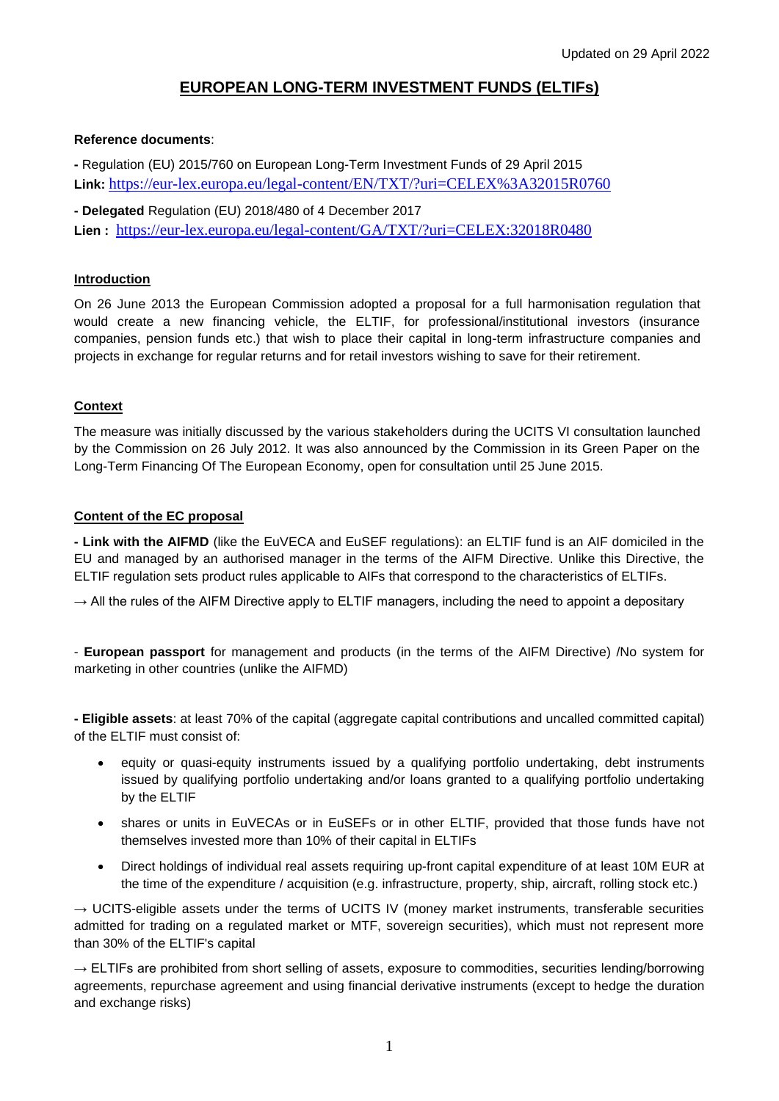# **EUROPEAN LONG-TERM INVESTMENT FUNDS (ELTIFs)**

### **Reference documents**:

**-** Regulation (EU) 2015/760 on European Long-Term Investment Funds of 29 April 2015 **Link:** <https://eur-lex.europa.eu/legal-content/EN/TXT/?uri=CELEX%3A32015R0760>

**- Delegated** Regulation (EU) 2018/480 of 4 December 2017 **Lien :** <https://eur-lex.europa.eu/legal-content/GA/TXT/?uri=CELEX:32018R0480>

### **Introduction**

On 26 June 2013 the European Commission adopted a proposal for a full harmonisation regulation that would create a new financing vehicle, the ELTIF, for professional/institutional investors (insurance companies, pension funds etc.) that wish to place their capital in long-term infrastructure companies and projects in exchange for regular returns and for retail investors wishing to save for their retirement.

## **Context**

The measure was initially discussed by the various stakeholders during the UCITS VI consultation launched by the Commission on 26 July 2012. It was also announced by the Commission in its Green Paper on the Long-Term Financing Of The European Economy, open for consultation until 25 June 2015.

### **Content of the EC proposal**

**- Link with the AIFMD** (like the EuVECA and EuSEF regulations): an ELTIF fund is an AIF domiciled in the EU and managed by an authorised manager in the terms of the AIFM Directive. Unlike this Directive, the ELTIF regulation sets product rules applicable to AIFs that correspond to the characteristics of ELTIFs.

 $\rightarrow$  All the rules of the AIFM Directive apply to ELTIF managers, including the need to appoint a depositary

- **European passport** for management and products (in the terms of the AIFM Directive) /No system for marketing in other countries (unlike the AIFMD)

**- Eligible assets**: at least 70% of the capital (aggregate capital contributions and uncalled committed capital) of the ELTIF must consist of:

- equity or quasi-equity instruments issued by a qualifying portfolio undertaking, debt instruments issued by qualifying portfolio undertaking and/or loans granted to a qualifying portfolio undertaking by the ELTIF
- shares or units in EuVECAs or in EuSEFs or in other ELTIF, provided that those funds have not themselves invested more than 10% of their capital in ELTIFs
- Direct holdings of individual real assets requiring up-front capital expenditure of at least 10M EUR at the time of the expenditure / acquisition (e.g. infrastructure, property, ship, aircraft, rolling stock etc.)

 $\rightarrow$  UCITS-eligible assets under the terms of UCITS IV (money market instruments, transferable securities admitted for trading on a regulated market or MTF, sovereign securities), which must not represent more than 30% of the ELTIF's capital

 $\rightarrow$  ELTIFs are prohibited from short selling of assets, exposure to commodities, securities lending/borrowing agreements, repurchase agreement and using financial derivative instruments (except to hedge the duration and exchange risks)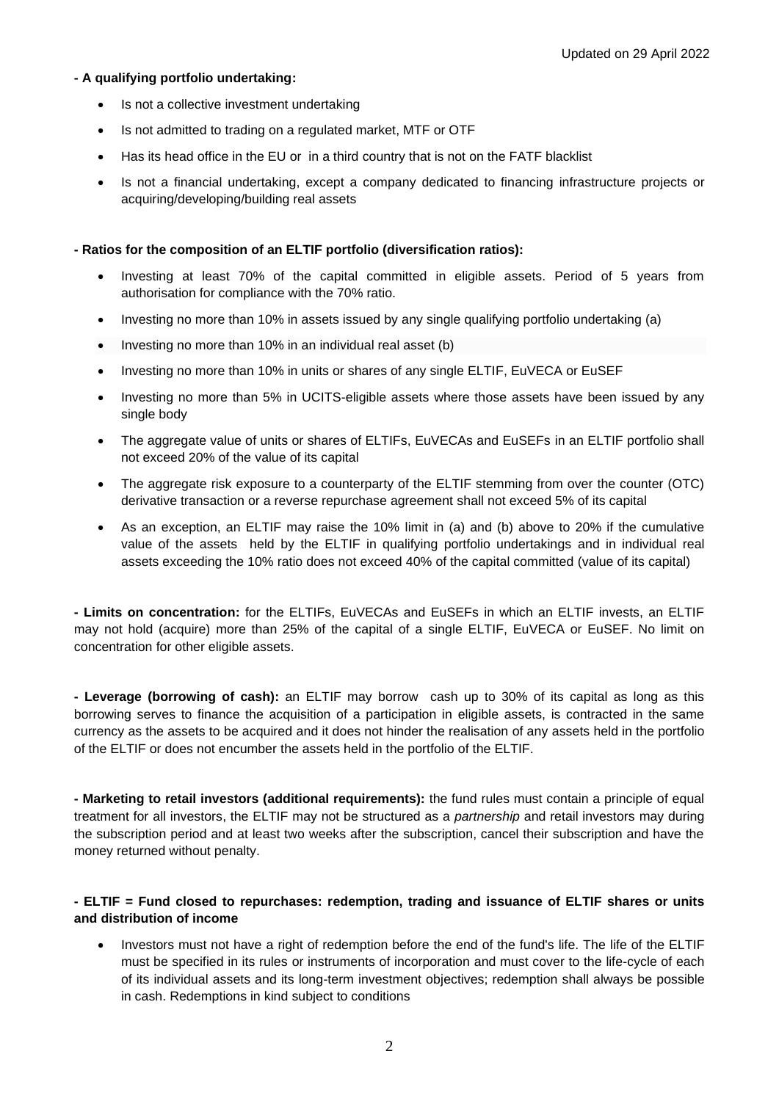## **- A qualifying portfolio undertaking:**

- Is not a collective investment undertaking
- Is not admitted to trading on a regulated market, MTF or OTF
- Has its head office in the EU or in a third country that is not on the FATF blacklist
- Is not a financial undertaking, except a company dedicated to financing infrastructure projects or acquiring/developing/building real assets

## **- Ratios for the composition of an ELTIF portfolio (diversification ratios):**

- Investing at least 70% of the capital committed in eligible assets. Period of 5 years from authorisation for compliance with the 70% ratio.
- Investing no more than 10% in assets issued by any single qualifying portfolio undertaking (a)
- Investing no more than 10% in an individual real asset (b)
- Investing no more than 10% in units or shares of any single ELTIF, EuVECA or EuSEF
- Investing no more than 5% in UCITS-eligible assets where those assets have been issued by any single body
- The aggregate value of units or shares of ELTIFs, EuVECAs and EuSEFs in an ELTIF portfolio shall not exceed 20% of the value of its capital
- The aggregate risk exposure to a counterparty of the ELTIF stemming from over the counter (OTC) derivative transaction or a reverse repurchase agreement shall not exceed 5% of its capital
- As an exception, an ELTIF may raise the 10% limit in (a) and (b) above to 20% if the cumulative value of the assets held by the ELTIF in qualifying portfolio undertakings and in individual real assets exceeding the 10% ratio does not exceed 40% of the capital committed (value of its capital)

**- Limits on concentration:** for the ELTIFs, EuVECAs and EuSEFs in which an ELTIF invests, an ELTIF may not hold (acquire) more than 25% of the capital of a single ELTIF, EuVECA or EuSEF. No limit on concentration for other eligible assets.

**- Leverage (borrowing of cash):** an ELTIF may borrow cash up to 30% of its capital as long as this borrowing serves to finance the acquisition of a participation in eligible assets, is contracted in the same currency as the assets to be acquired and it does not hinder the realisation of any assets held in the portfolio of the ELTIF or does not encumber the assets held in the portfolio of the ELTIF.

**- Marketing to retail investors (additional requirements):** the fund rules must contain a principle of equal treatment for all investors, the ELTIF may not be structured as a *partnership* and retail investors may during the subscription period and at least two weeks after the subscription, cancel their subscription and have the money returned without penalty.

## **- ELTIF = Fund closed to repurchases: redemption, trading and issuance of ELTIF shares or units and distribution of income**

• Investors must not have a right of redemption before the end of the fund's life. The life of the ELTIF must be specified in its rules or instruments of incorporation and must cover to the life-cycle of each of its individual assets and its long-term investment objectives; redemption shall always be possible in cash. Redemptions in kind subject to conditions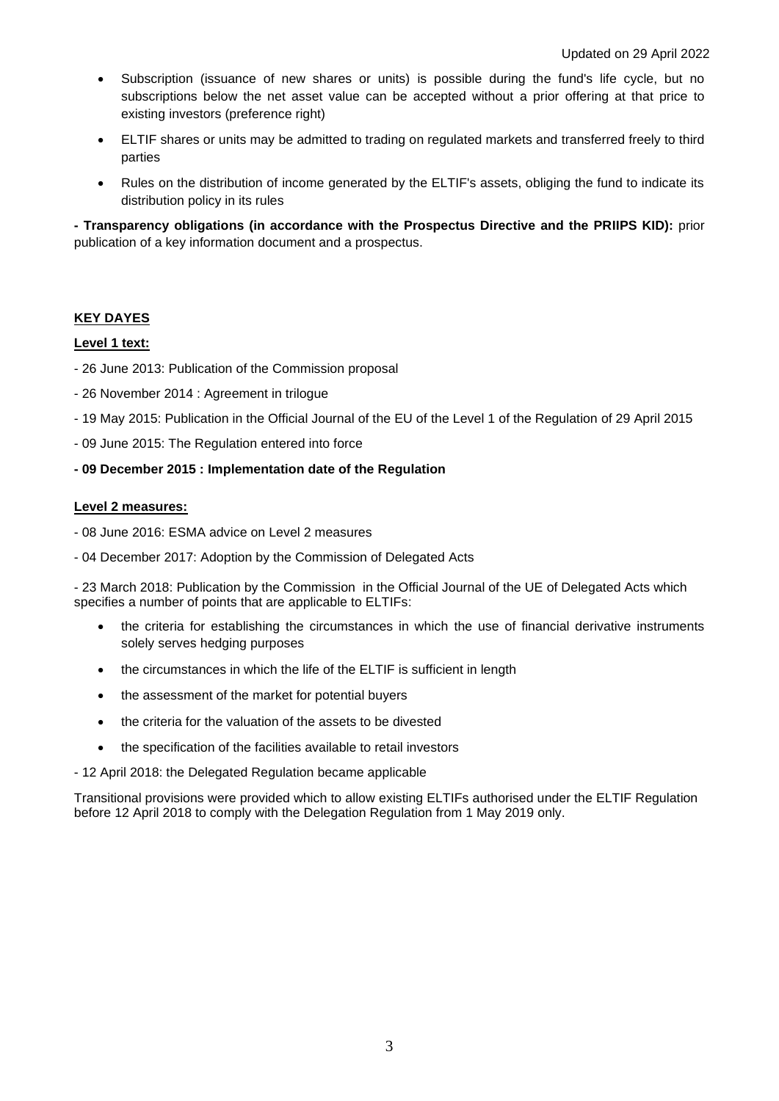- Subscription (issuance of new shares or units) is possible during the fund's life cycle, but no subscriptions below the net asset value can be accepted without a prior offering at that price to existing investors (preference right)
- ELTIF shares or units may be admitted to trading on regulated markets and transferred freely to third parties
- Rules on the distribution of income generated by the ELTIF's assets, obliging the fund to indicate its distribution policy in its rules

**- Transparency obligations (in accordance with the Prospectus Directive and the PRIIPS KID):** prior publication of a key information document and a prospectus.

## **KEY DAYES**

## **Level 1 text:**

- 26 June 2013: Publication of the Commission proposal
- 26 November 2014 : Agreement in trilogue
- 19 May 2015: Publication in the Official Journal of the EU of the Level 1 of the Regulation of 29 April 2015
- 09 June 2015: The Regulation entered into force

### **- 09 December 2015 : Implementation date of the Regulation**

### **Level 2 measures:**

- 08 June 2016: ESMA advice on Level 2 measures
- 04 December 2017: Adoption by the Commission of Delegated Acts

- 23 March 2018: Publication by the Commission in the Official Journal of the UE of Delegated Acts which specifies a number of points that are applicable to ELTIFs:

- the criteria for establishing the circumstances in which the use of financial derivative instruments solely serves hedging purposes
- the circumstances in which the life of the ELTIF is sufficient in length
- the assessment of the market for potential buyers
- the criteria for the valuation of the assets to be divested
- the specification of the facilities available to retail investors

### - 12 April 2018: the Delegated Regulation became applicable

Transitional provisions were provided which to allow existing ELTIFs authorised under the ELTIF Regulation before 12 April 2018 to comply with the Delegation Regulation from 1 May 2019 only.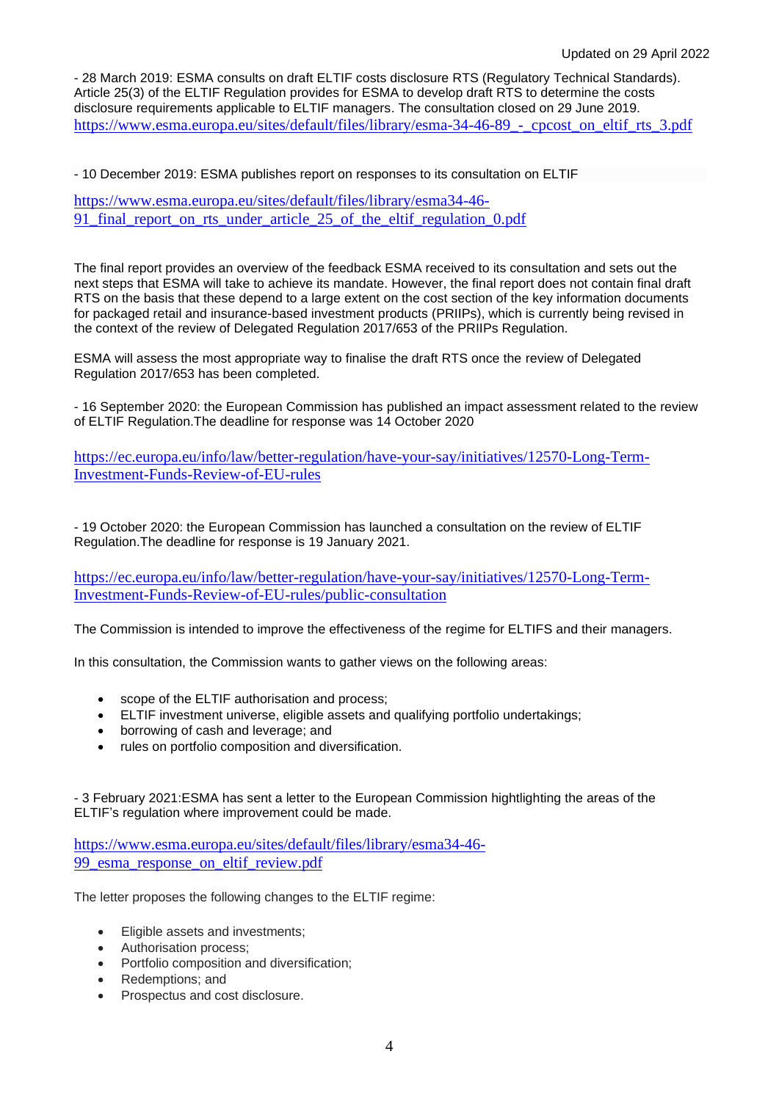- 28 March 2019: ESMA consults on draft ELTIF costs disclosure RTS (Regulatory Technical Standards). Article 25(3) of the ELTIF Regulation provides for ESMA to develop draft RTS to determine the costs disclosure requirements applicable to ELTIF managers. The consultation closed on 29 June 2019. https://www.esma.europa.eu/sites/default/files/library/esma-34-46-89 - cpcost\_on\_eltif\_rts\_3.pdf

- 10 December 2019: ESMA publishes report on responses to its consultation on ELTIF

[https://www.esma.europa.eu/sites/default/files/library/esma34-46-](https://www.esma.europa.eu/sites/default/files/library/esma34-46-91_final_report_on_rts_under_article_25_of_the_eltif_regulation_0.pdf) 91 final report on rts under article 25 of the eltif regulation 0.pdf

The final report provides an overview of the feedback ESMA received to its consultation and sets out the next steps that ESMA will take to achieve its mandate. However, the final report does not contain final draft RTS on the basis that these depend to a large extent on the cost section of the key information documents for packaged retail and insurance-based investment products (PRIIPs), which is currently being revised in the context of the review of Delegated Regulation 2017/653 of the PRIIPs Regulation.

ESMA will assess the most appropriate way to finalise the draft RTS once the review of Delegated Regulation 2017/653 has been completed.

- 16 September 2020: the European Commission has published an impact assessment related to the review of ELTIF Regulation.The deadline for response was 14 October 2020

[https://ec.europa.eu/info/law/better-regulation/have-your-say/initiatives/12570-Long-Term-](https://ec.europa.eu/info/law/better-regulation/have-your-say/initiatives/12570-Long-Term-Investment-Funds-Review-of-EU-rules)[Investment-Funds-Review-of-EU-rules](https://ec.europa.eu/info/law/better-regulation/have-your-say/initiatives/12570-Long-Term-Investment-Funds-Review-of-EU-rules)

- 19 October 2020: the European Commission has launched a consultation on the review of ELTIF Regulation.The deadline for response is 19 January 2021.

[https://ec.europa.eu/info/law/better-regulation/have-your-say/initiatives/12570-Long-Term-](https://ec.europa.eu/info/law/better-regulation/have-your-say/initiatives/12570-Long-Term-Investment-Funds-Review-of-EU-rules/public-consultation)[Investment-Funds-Review-of-EU-rules/public-consultation](https://ec.europa.eu/info/law/better-regulation/have-your-say/initiatives/12570-Long-Term-Investment-Funds-Review-of-EU-rules/public-consultation)

The Commission is intended to improve the effectiveness of the regime for ELTIFS and their managers.

In this consultation, the Commission wants to gather views on the following areas:

- scope of the ELTIF authorisation and process;
- ELTIF investment universe, eligible assets and qualifying portfolio undertakings;
- borrowing of cash and leverage; and
- rules on portfolio composition and diversification.

- 3 February 2021:ESMA has sent a letter to the European Commission hightlighting the areas of the ELTIF's regulation where improvement could be made.

[https://www.esma.europa.eu/sites/default/files/library/esma34-46-](https://www.esma.europa.eu/sites/default/files/library/esma34-46-99_esma_response_on_eltif_review.pdf) 99 esma response on eltif review.pdf

The letter proposes the following changes to the ELTIF regime:

- Eligible assets and investments;
- Authorisation process;
- Portfolio composition and diversification:
- Redemptions; and
- Prospectus and cost disclosure.